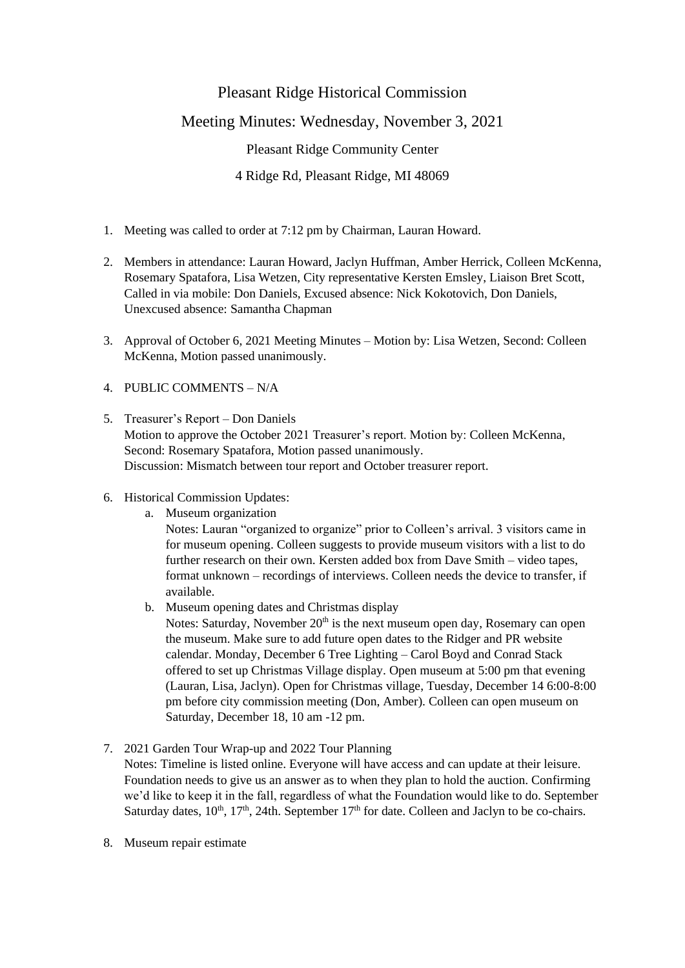# Pleasant Ridge Historical Commission Meeting Minutes: Wednesday, November 3, 2021 Pleasant Ridge Community Center 4 Ridge Rd, Pleasant Ridge, MI 48069

- 1. Meeting was called to order at 7:12 pm by Chairman, Lauran Howard.
- 2. Members in attendance: Lauran Howard, Jaclyn Huffman, Amber Herrick, Colleen McKenna, Rosemary Spatafora, Lisa Wetzen, City representative Kersten Emsley, Liaison Bret Scott, Called in via mobile: Don Daniels, Excused absence: Nick Kokotovich, Don Daniels, Unexcused absence: Samantha Chapman
- 3. Approval of October 6, 2021 Meeting Minutes Motion by: Lisa Wetzen, Second: Colleen McKenna, Motion passed unanimously.
- 4. PUBLIC COMMENTS N/A
- 5. Treasurer's Report Don Daniels Motion to approve the October 2021 Treasurer's report. Motion by: Colleen McKenna, Second: Rosemary Spatafora, Motion passed unanimously. Discussion: Mismatch between tour report and October treasurer report.
- 6. Historical Commission Updates:
	- a. Museum organization Notes: Lauran "organized to organize" prior to Colleen's arrival. 3 visitors came in for museum opening. Colleen suggests to provide museum visitors with a list to do further research on their own. Kersten added box from Dave Smith – video tapes, format unknown – recordings of interviews. Colleen needs the device to transfer, if available.
	- b. Museum opening dates and Christmas display

Notes: Saturday, November 20<sup>th</sup> is the next museum open day, Rosemary can open the museum. Make sure to add future open dates to the Ridger and PR website calendar. Monday, December 6 Tree Lighting – Carol Boyd and Conrad Stack offered to set up Christmas Village display. Open museum at 5:00 pm that evening (Lauran, Lisa, Jaclyn). Open for Christmas village, Tuesday, December 14 6:00-8:00 pm before city commission meeting (Don, Amber). Colleen can open museum on Saturday, December 18, 10 am -12 pm.

- 7. 2021 Garden Tour Wrap-up and 2022 Tour Planning Notes: Timeline is listed online. Everyone will have access and can update at their leisure. Foundation needs to give us an answer as to when they plan to hold the auction. Confirming we'd like to keep it in the fall, regardless of what the Foundation would like to do. September Saturday dates,  $10^{th}$ ,  $17^{th}$ ,  $24th$ . September  $17^{th}$  for date. Colleen and Jaclyn to be co-chairs.
- 8. Museum repair estimate